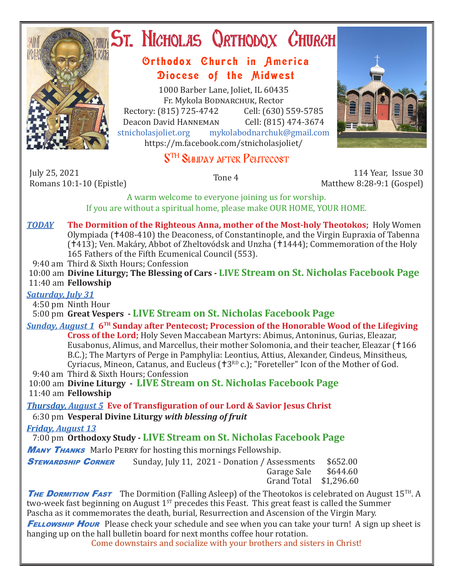

# ST. NICHOLAS QRTHODOX CHURCH

## Orthodox Church in America Diocese of the Midwest

1000 Barber Lane, Joliet, IL 60435 Fr. Mykola Bodnarchuk, Rector Rectory: (815) 725-4742 Cell: (630) 559-5785<br>Deacon David HANNEMAN Cell: (815) 474-3674 Deacon David Hanneman<br>stnicholasioliet.org mvk mykolabodnarchuk@gmail.com https://m.facebook.com/stnicholasjoliet/

# S<sup>TH</sup> SUNDAY AFTER PENTECOST

July 25, 2021<br>Romans 10:1-10 (Epistle)

Romans 10:1-10 (Epistle) Tone 4 114 Year, Issue 30 Matthew 8:28-9:1 (Gospel)

A warm welcome to everyone joining us for worship. If you are without a spiritual home, please make OUR HOME, YOUR HOME.

- *TODAY* **The Dormition of the Righteous Anna, mother of the Most-holy Theotokos;** Holy Women Olympiada (408-410) the Deaconess, of Constantinople, and the Virgin Eupraxia of Tabenna (†413); Ven. Makáry, Abbot of Zheltovódsk and Unzha (†1444); Commemoration of the Holy 165 Fathers of the Fifth Ecumenical Council (553).
- 9:40 am Third & Sixth Hours; Confession

 10:00 am **Divine Liturgy; The Blessing of Cars - LIVE Stream on St. Nicholas Facebook Page** 11:40 am **Fellowship**

### *Saturday, July 31*

4:50 pm Ninth Hour

5:00 pm **Great Vespers - LIVE Stream on St. Nicholas Facebook Page**

*Sunday, August 1* **6TH Sunday after Pentecost; Procession of the Honorable Wood of the Lifegiving Cross of the Lord;** Holy Seven Maccabean Martyrs: Abimus, Antoninus, Gurias, Eleazar, Eusabonus, Alimus, and Marcellus, their mother Solomonia, and their teacher, Eleazar (†166 B.C.); The Martyrs of Perge in Pamphylia: Leontius, Attius, Alexander, Cindeus, Minsitheus, Cyriacus, Mineon, Catanus, and Eucleus ( $\text{t}3^{\text{RD}}$  c.); "Foreteller" Icon of the Mother of God. 9:40 am Third & Sixth Hours; Confession

 10:00 am **Divine Liturgy - LIVE Stream on St. Nicholas Facebook Page** 11:40 am **Fellowship**

*Thursday, August 5* **Eve of Transfiguration of our Lord & Savior Jesus Christ** 6:30 pm **Vesperal Divine Liturgy** *with blessing of fruit*

*Friday, August 13* 

7:00 pm **Orthodoxy Study - LIVE Stream on St. Nicholas Facebook Page**

**MANY THANKS** Marlo PERRY for hosting this mornings Fellowship.

**STEWARDSHIP CORNER** Sunday, July 11, 2021 - Donation / Assessments \$652.00<br>Garage Sale \$644.60

Garage Sale \$644.60 Grand Total \$1,296.60

**THE DORMITION FAST** The Dormition (Falling Asleep) of the Theotokos is celebrated on August 15<sup>TH</sup>. A two-week fast beginning on August  $1^{ST}$  precedes this Feast. This great feast is called the Summer Pascha as it commemorates the death, burial, Resurrection and Ascension of the Virgin Mary.

**FELLOWSHIP HOUR** Please check your schedule and see when you can take your turn! A sign up sheet is hanging up on the hall bulletin board for next months coffee hour rotation.

Come downstairs and socialize with your brothers and sisters in Christ!